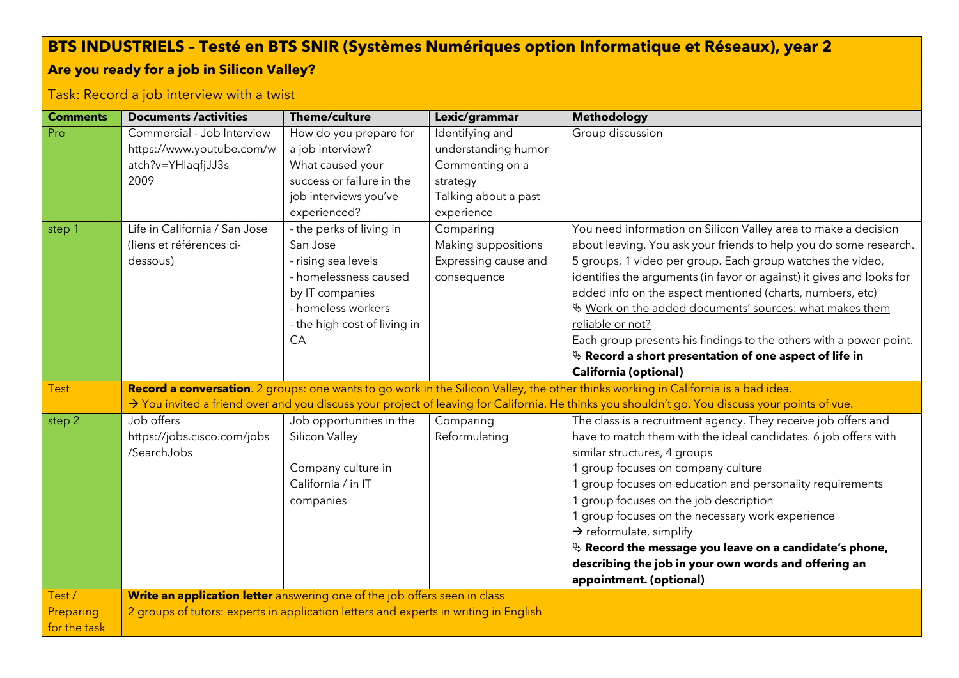## **BTS INDUSTRIELS – Testé en BTS SNIR (Systèmes Numériques option Informatique et Réseaux), year 2**

## **Are you ready for a job in Silicon Valley?**

## Task: Record a job interview with a twist

| <b>Comments</b>           | <b>Documents /activities</b>                                                          | <b>Theme/culture</b>                                                                                                                                                | Lexic/grammar                                                                                               | <b>Methodology</b>                                                                                                                                                                                                                                                                                                                                                                                                                                                                                                                                                                      |
|---------------------------|---------------------------------------------------------------------------------------|---------------------------------------------------------------------------------------------------------------------------------------------------------------------|-------------------------------------------------------------------------------------------------------------|-----------------------------------------------------------------------------------------------------------------------------------------------------------------------------------------------------------------------------------------------------------------------------------------------------------------------------------------------------------------------------------------------------------------------------------------------------------------------------------------------------------------------------------------------------------------------------------------|
| Pre                       | Commercial - Job Interview<br>https://www.youtube.com/w<br>atch?v=YHlaqfjJJ3s<br>2009 | How do you prepare for<br>a job interview?<br>What caused your<br>success or failure in the<br>job interviews you've<br>experienced?                                | Identifying and<br>understanding humor<br>Commenting on a<br>strategy<br>Talking about a past<br>experience | Group discussion                                                                                                                                                                                                                                                                                                                                                                                                                                                                                                                                                                        |
| step 1                    | Life in California / San Jose<br>(liens et références ci-<br>dessous)                 | - the perks of living in<br>San Jose<br>- rising sea levels<br>- homelessness caused<br>by IT companies<br>- homeless workers<br>- the high cost of living in<br>CA | Comparing<br>Making suppositions<br>Expressing cause and<br>consequence                                     | You need information on Silicon Valley area to make a decision<br>about leaving. You ask your friends to help you do some research.<br>5 groups, 1 video per group. Each group watches the video,<br>identifies the arguments (in favor or against) it gives and looks for<br>added info on the aspect mentioned (charts, numbers, etc)<br>Work on the added documents' sources: what makes them<br>reliable or not?<br>Each group presents his findings to the others with a power point.<br>$\%$ Record a short presentation of one aspect of life in<br><b>California (optional)</b> |
| <b>Test</b>               |                                                                                       |                                                                                                                                                                     |                                                                                                             | Record a conversation. 2 groups: one wants to go work in the Silicon Valley, the other thinks working in California is a bad idea.                                                                                                                                                                                                                                                                                                                                                                                                                                                      |
|                           |                                                                                       |                                                                                                                                                                     |                                                                                                             | > You invited a friend over and you discuss your project of leaving for California. He thinks you shouldn't go. You discuss your points of vue.                                                                                                                                                                                                                                                                                                                                                                                                                                         |
| step 2                    | Job offers<br>https://jobs.cisco.com/jobs<br>/SearchJobs                              | Job opportunities in the<br>Silicon Valley<br>Company culture in<br>California / in IT<br>companies                                                                 | Comparing<br>Reformulating                                                                                  | The class is a recruitment agency. They receive job offers and<br>have to match them with the ideal candidates. 6 job offers with<br>similar structures, 4 groups<br>1 group focuses on company culture<br>1 group focuses on education and personality requirements<br>1 group focuses on the job description<br>1 group focuses on the necessary work experience<br>$\rightarrow$ reformulate, simplify<br>$\%$ Record the message you leave on a candidate's phone,<br>describing the job in your own words and offering an<br>appointment. (optional)                               |
| Test/                     | Write an application letter answering one of the job offers seen in class             |                                                                                                                                                                     |                                                                                                             |                                                                                                                                                                                                                                                                                                                                                                                                                                                                                                                                                                                         |
| Preparing<br>for the task | 2 groups of tutors: experts in application letters and experts in writing in English  |                                                                                                                                                                     |                                                                                                             |                                                                                                                                                                                                                                                                                                                                                                                                                                                                                                                                                                                         |